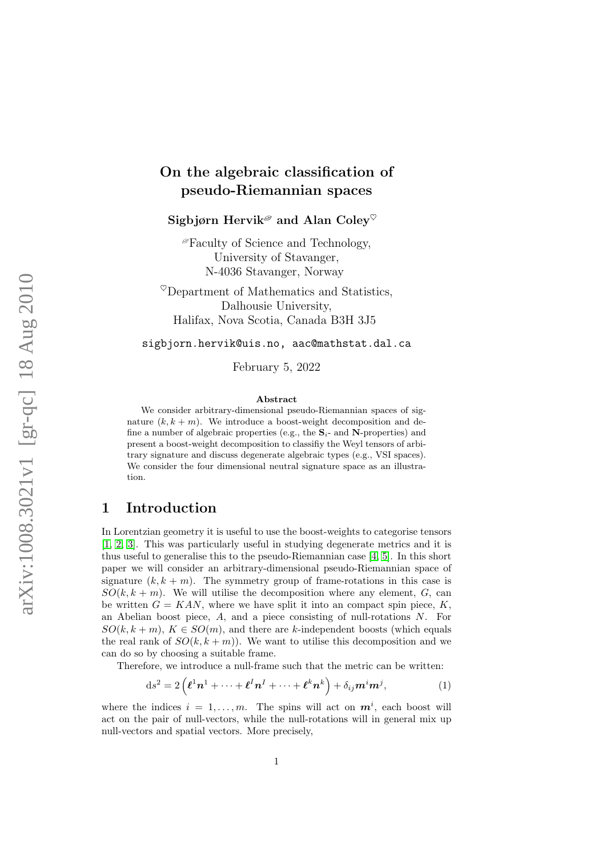# On the algebraic classification of pseudo-Riemannian spaces

Sigbjørn Hervik<sup> $\mathscr P$ </sup> and Alan Colev<sup> $\heartsuit$ </sup>

 ${}^{\mathscr{D}}$ Faculty of Science and Technology, University of Stavanger, N-4036 Stavanger, Norway

 $^{\heartsuit}$ Department of Mathematics and Statistics, Dalhousie University, Halifax, Nova Scotia, Canada B3H 3J5

sigbjorn.hervik@uis.no, aac@mathstat.dal.ca

February 5, 2022

#### Abstract

We consider arbitrary-dimensional pseudo-Riemannian spaces of signature  $(k, k + m)$ . We introduce a boost-weight decomposition and define a number of algebraic properties (e.g., the  $S_i$ - and N-properties) and present a boost-weight decomposition to classifiy the Weyl tensors of arbitrary signature and discuss degenerate algebraic types (e.g., VSI spaces). We consider the four dimensional neutral signature space as an illustration.

#### 1 Introduction

In Lorentzian geometry it is useful to use the boost-weights to categorise tensors [\[1,](#page-6-0) [2,](#page-6-1) [3\]](#page-6-2). This was particularly useful in studying degenerate metrics and it is thus useful to generalise this to the pseudo-Riemannian case [\[4,](#page-6-3) [5\]](#page-6-4). In this short paper we will consider an arbitrary-dimensional pseudo-Riemannian space of signature  $(k, k + m)$ . The symmetry group of frame-rotations in this case is  $SO(k, k+m)$ . We will utilise the decomposition where any element, G, can be written  $G = KAN$ , where we have split it into an compact spin piece, K, an Abelian boost piece, A, and a piece consisting of null-rotations N. For  $SO(k, k+m)$ ,  $K \in SO(m)$ , and there are k-independent boosts (which equals the real rank of  $SO(k, k+m)$ . We want to utilise this decomposition and we can do so by choosing a suitable frame.

Therefore, we introduce a null-frame such that the metric can be written:

$$
ds^{2} = 2\left(\boldsymbol{\ell}^{1}\boldsymbol{n}^{1} + \cdots + \boldsymbol{\ell}^{I}\boldsymbol{n}^{I} + \cdots + \boldsymbol{\ell}^{k}\boldsymbol{n}^{k}\right) + \delta_{ij}\boldsymbol{m}^{i}\boldsymbol{m}^{j},
$$
\n(1)

where the indices  $i = 1, ..., m$ . The spins will act on  $m^i$ , each boost will act on the pair of null-vectors, while the null-rotations will in general mix up null-vectors and spatial vectors. More precisely,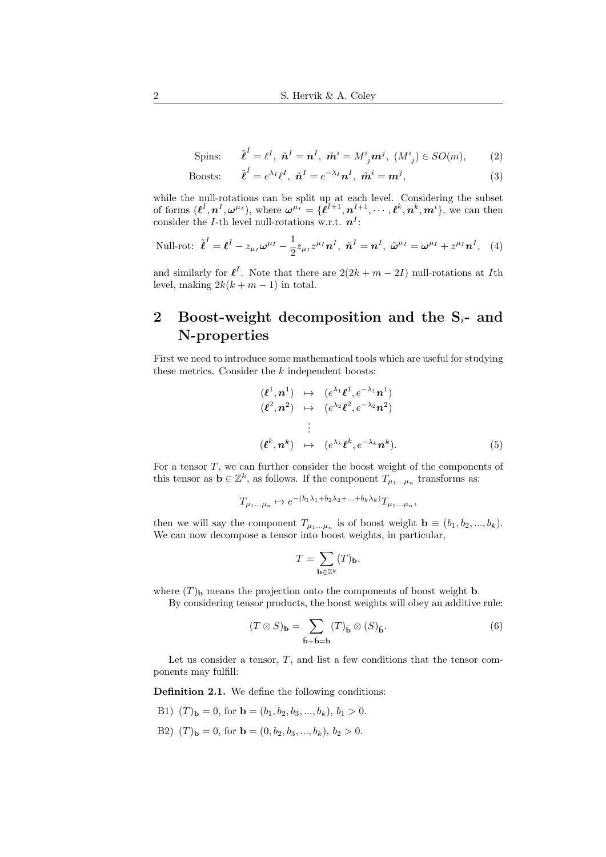$$
\text{Spins:} \qquad \tilde{\boldsymbol{\ell}}^I = \ell^I, \ \tilde{\boldsymbol{n}}^I = \boldsymbol{n}^I, \ \tilde{\boldsymbol{m}}^i = M^i{}_j \boldsymbol{m}^j, \ (M^i{}_j) \in SO(m), \tag{2}
$$

$$
\text{Boost:} \qquad \tilde{\boldsymbol{\ell}}^I = e^{\lambda_I} \boldsymbol{\ell}^I, \ \tilde{\boldsymbol{n}}^I = e^{-\lambda_I} \boldsymbol{n}^I, \ \tilde{\boldsymbol{m}}^i = \boldsymbol{m}^j,\tag{3}
$$

while the null-rotations can be split up at each level. Considering the subset of forms  $(\ell^I, n^I, \omega^{\mu_I})$ , where  $\omega^{\mu_I} = {\ell^{I+1}, n^{I+1}, \cdots, \ell^k, n^k, m^i}$ , we can then consider the *I*-th level null-rotations w.r.t.  $n<sup>I</sup>$ :

Null-rot: 
$$
\tilde{\boldsymbol{\ell}}^I = \boldsymbol{\ell}^I - z_{\mu_I} \boldsymbol{\omega}^{\mu_I} - \frac{1}{2} z_{\mu_I} z^{\mu_I} \boldsymbol{n}^I, \ \tilde{\boldsymbol{n}}^I = \boldsymbol{n}^I, \ \tilde{\boldsymbol{\omega}}^{\mu_I} = \boldsymbol{\omega}^{\mu_I} + z^{\mu_I} \boldsymbol{n}^I, \ (4)
$$

and similarly for  $\ell^I$ . Note that there are  $2(2k + m - 2I)$  null-rotations at Ith level, making  $2k(k + m - 1)$  in total.

# 2 Boost-weight decomposition and the  $S_i$ - and N-properties

First we need to introduce some mathematical tools which are useful for studying these metrics. Consider the  $k$  independent boosts:

$$
(\ell^1, n^1) \mapsto (e^{\lambda_1} \ell^1, e^{-\lambda_1} n^1)
$$
  
\n
$$
(\ell^2, n^2) \mapsto (e^{\lambda_2} \ell^2, e^{-\lambda_2} n^2)
$$
  
\n
$$
\vdots
$$
  
\n
$$
(\ell^k, n^k) \mapsto (e^{\lambda_k} \ell^k, e^{-\lambda_k} n^k).
$$
  
\n(5)

For a tensor T, we can further consider the boost weight of the components of this tensor as  $\mathbf{b} \in \mathbb{Z}^k$ , as follows. If the component  $T_{\mu_1...\mu_n}$  transforms as:

$$
T_{\mu_1...\mu_n} \mapsto e^{-(b_1\lambda_1 + b_2\lambda_2 + ... + b_k\lambda_k)} T_{\mu_1...\mu_n},
$$

then we will say the component  $T_{\mu_1...\mu_n}$  is of boost weight  $\mathbf{b} \equiv (b_1, b_2, ..., b_k)$ . We can now decompose a tensor into boost weights, in particular,

$$
T = \sum_{{\mathbf b} \in {\mathbb Z}^k} (T)_{{\mathbf b}},
$$

where  $(T)$ <sub>b</sub> means the projection onto the components of boost weight b.

By considering tensor products, the boost weights will obey an additive rule:

$$
(T \otimes S)_{\mathbf{b}} = \sum_{\tilde{\mathbf{b}} + \tilde{\mathbf{b}} = \mathbf{b}} (T)_{\tilde{\mathbf{b}}} \otimes (S)_{\hat{\mathbf{b}}}.
$$
 (6)

Let us consider a tensor,  $T$ , and list a few conditions that the tensor components may fulfill:

<span id="page-1-0"></span>Definition 2.1. We define the following conditions:

- B1)  $(T)_{\mathbf{b}} = 0$ , for  $\mathbf{b} = (b_1, b_2, b_3, ..., b_k), b_1 > 0$ .
- B2)  $(T)**b** = 0$ , for  $$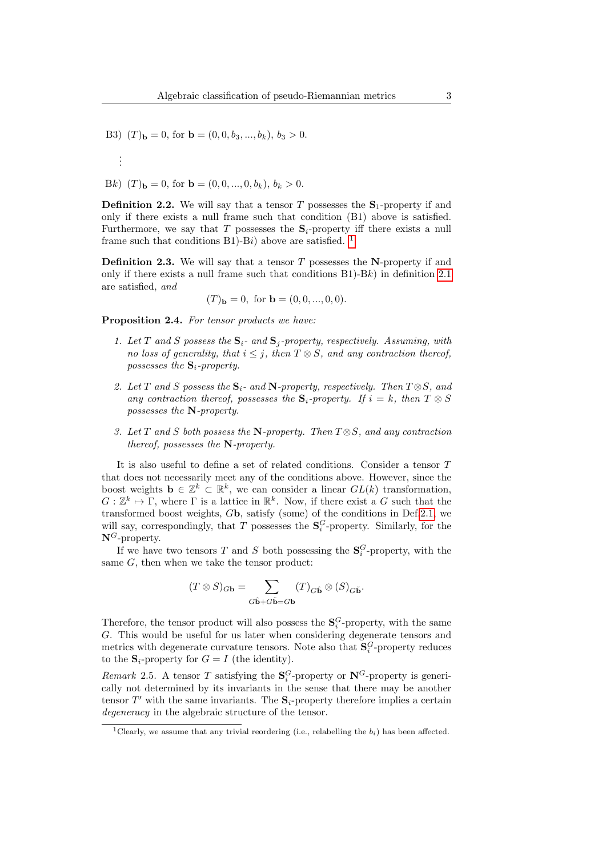B3)  $(T)<sub>b</sub> = 0$ , for **.** 

Bk) 
$$
(T)_{\mathbf{b}} = 0
$$
, for  $\mathbf{b} = (0, 0, ..., 0, b_k)$ ,  $b_k > 0$ .

. . .

**Definition 2.2.** We will say that a tensor T possesses the  $S_1$ -property if and only if there exists a null frame such that condition (B1) above is satisfied. Furthermore, we say that T possesses the  $S_i$ -property iff there exists a null frame such that conditions B[1](#page-2-0))-Bi) above are satisfied. <sup>1</sup>

**Definition 2.3.** We will say that a tensor  $T$  possesses the N-property if and only if there exists a null frame such that conditions  $B1$ )- $Bk$ ) in definition [2.1](#page-1-0) are satisfied, and

$$
(T)b = 0
$$
, for **b** =  $(0, 0, ..., 0, 0)$ .

Proposition 2.4. For tensor products we have:

- 1. Let T and S possess the  $S_i$  and  $S_j$ -property, respectively. Assuming, with no loss of generality, that  $i \leq j$ , then  $T \otimes S$ , and any contraction thereof, possesses the  $S_i$ -property.
- 2. Let T and S possess the  $S_i$  and N-property, respectively. Then  $T \otimes S$ , and any contraction thereof, possesses the  $S_i$ -property. If  $i = k$ , then  $T \otimes S$ possesses the N-property.
- 3. Let T and S both possess the N-property. Then  $T \otimes S$ , and any contraction thereof, possesses the N-property.

It is also useful to define a set of related conditions. Consider a tensor T that does not necessarily meet any of the conditions above. However, since the boost weights  $\mathbf{b} \in \mathbb{Z}^k \subset \mathbb{R}^k$ , we can consider a linear  $GL(k)$  transformation,  $G: \mathbb{Z}^k \to \Gamma$ , where  $\Gamma$  is a lattice in  $\mathbb{R}^k$ . Now, if there exist a G such that the transformed boost weights, Gb, satisfy (some) of the conditions in Def[.2.1,](#page-1-0) we will say, correspondingly, that T possesses the  $S_i^G$ -property. Similarly, for the  $N^G$ -property.

If we have two tensors  $T$  and  $S$  both possessing the  $\mathbf{S}_i^G$ -property, with the same  $G$ , then when we take the tensor product:

$$
(T \otimes S)_{G\mathbf{b}} = \sum_{G\hat{\mathbf{b}}+G\hat{\mathbf{b}}=G\mathbf{b}} (T)_{G\hat{\mathbf{b}}} \otimes (S)_{G\hat{\mathbf{b}}}.
$$

Therefore, the tensor product will also possess the  $S_i^G$ -property, with the same G. This would be useful for us later when considering degenerate tensors and metrics with degenerate curvature tensors. Note also that  $\mathbf{S}_i^G$ -property reduces to the  $S_i$ -property for  $G = I$  (the identity).

Remark 2.5. A tensor T satisfying the  $S_i^G$ -property or  $N^G$ -property is generically not determined by its invariants in the sense that there may be another tensor  $T'$  with the same invariants. The  $S_i$ -property therefore implies a certain degeneracy in the algebraic structure of the tensor.

<span id="page-2-0"></span><sup>&</sup>lt;sup>1</sup>Clearly, we assume that any trivial reordering (i.e., relabelling the  $b_i$ ) has been affected.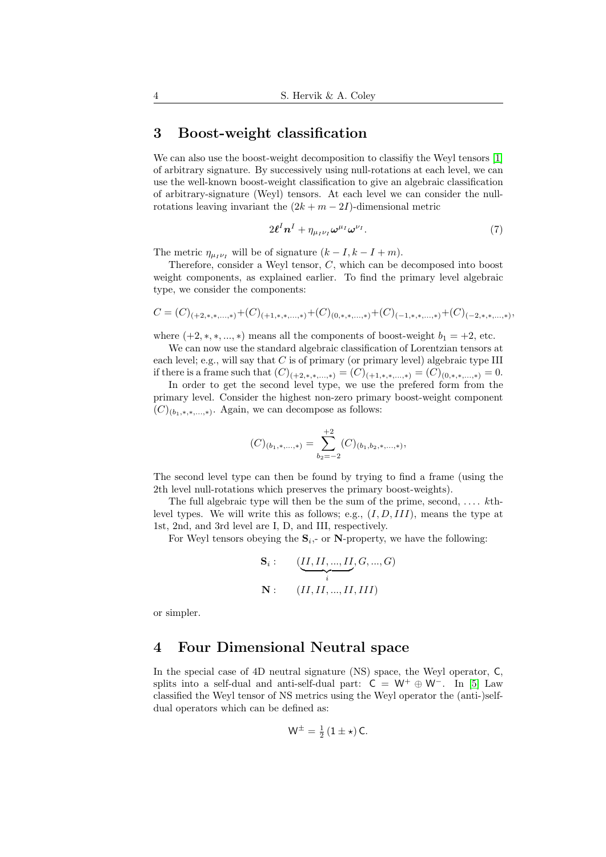## 3 Boost-weight classification

We can also use the boost-weight decomposition to classifiy the Weyl tensors [\[1\]](#page-6-0) of arbitrary signature. By successively using null-rotations at each level, we can use the well-known boost-weight classification to give an algebraic classification of arbitrary-signature (Weyl) tensors. At each level we can consider the nullrotations leaving invariant the  $(2k + m - 2I)$ -dimensional metric

$$
2\boldsymbol{\ell}^{I}\boldsymbol{n}^{I}+\eta_{\mu_{I}\nu_{I}}\boldsymbol{\omega}^{\mu_{I}}\boldsymbol{\omega}^{\nu_{I}}.
$$
\n
$$
\tag{7}
$$

The metric  $\eta_{\mu_I\nu_I}$  will be of signature  $(k - I, k - I + m)$ .

Therefore, consider a Weyl tensor, C, which can be decomposed into boost weight components, as explained earlier. To find the primary level algebraic type, we consider the components:

$$
C = (C)_{(+2,*,*,\dots,*)} + (C)_{(+1,*,*,\dots,*)} + (C)_{(0,*,*,\dots,*)} + (C)_{(-1,*,*,\dots,*)} + (C)_{(-2,*,*,\dots,*)}
$$

where  $(+2, *, *, ..., *)$  means all the components of boost-weight  $b_1 = +2$ , etc.

We can now use the standard algebraic classification of Lorentzian tensors at each level; e.g., will say that C is of primary (or primary level) algebraic type III if there is a frame such that  $(C)_{(+2,*,*,...,*)} = (C)_{(+1,*,*,...,*)} = (C)_{(0,*,*,...,*)} = 0.$ 

In order to get the second level type, we use the prefered form from the primary level. Consider the highest non-zero primary boost-weight component  $(C)_{(b_1,*,*,\ldots,*)}$ . Again, we can decompose as follows:

$$
(C)_{(b_1,\ast,\ldots,\ast)} = \sum_{b_2=-2}^{+2} (C)_{(b_1,b_2,\ast,\ldots,\ast)}
$$

The second level type can then be found by trying to find a frame (using the 2th level null-rotations which preserves the primary boost-weights).

The full algebraic type will then be the sum of the prime, second,  $\dots$  kthlevel types. We will write this as follows; e.g.,  $(I, D, III)$ , means the type at 1st, 2nd, and 3rd level are I, D, and III, respectively.

For Weyl tensors obeying the  $S_i$ , or N-property, we have the following:

$$
\mathbf{S}_{i}: \qquad (\underbrace{II,II,...,II}_{i},G,...,G) \newline \mathbf{N}: \qquad (II,II,...,II,III)
$$

or simpler.

## 4 Four Dimensional Neutral space

In the special case of 4D neutral signature (NS) space, the Weyl operator, C, splits into a self-dual and anti-self-dual part:  $C = W^+ \oplus W^-$ . In [\[5\]](#page-6-4) Law classified the Weyl tensor of NS metrics using the Weyl operator the (anti-)selfdual operators which can be defined as:

$$
W^{\pm} = \frac{1}{2} (1 \pm \star) C.
$$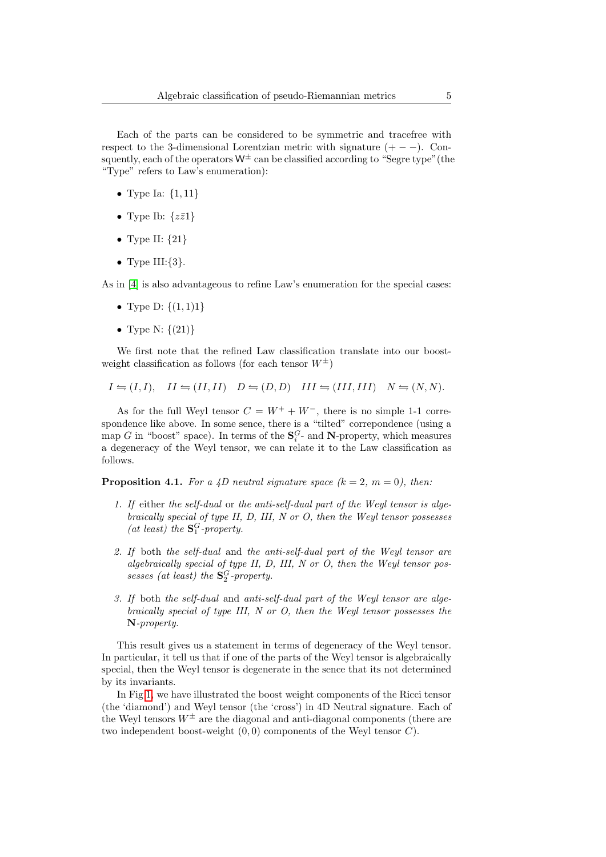Each of the parts can be considered to be symmetric and tracefree with respect to the 3-dimensional Lorentzian metric with signature  $(+ - -)$ . Consquently, each of the operators  $W^{\pm}$  can be classified according to "Segre type" (the "Type" refers to Law's enumeration):

- Type Ia:  $\{1, 11\}$
- Type Ib:  $\{z\bar{z}1\}$
- Type II:  $\{21\}$
- Type  $III:\{3\}$ .

As in [\[4\]](#page-6-3) is also advantageous to refine Law's enumeration for the special cases:

- Type D:  $\{(1,1)1\}$
- Type N:  $\{(21)\}\$

We first note that the refined Law classification translate into our boostweight classification as follows (for each tensor  $W^{\pm}$ )

$$
I = (I, I), \quad II = (II, II) \quad D = (D, D) \quad III = (III, III) \quad N = (N, N).
$$

As for the full Weyl tensor  $C = W^+ + W^-$ , there is no simple 1-1 correspondence like above. In some sence, there is a "tilted" correpondence (using a map G in "boost" space). In terms of the  $S_i^G$ - and N-property, which measures a degeneracy of the Weyl tensor, we can relate it to the Law classification as follows.

**Proposition 4.1.** For a 4D neutral signature space  $(k = 2, m = 0)$ , then:

- 1. If either the self-dual or the anti-self-dual part of the Weyl tensor is algebraically special of type II, D, III, N or O, then the Weyl tensor possesses (at least) the  $\mathbf{S}_1^G$ -property.
- 2. If both the self-dual and the anti-self-dual part of the Weyl tensor are algebraically special of type II, D, III, N or O, then the Weyl tensor possesses (at least) the  $\mathbf{S}_2^G$ -property.
- 3. If both the self-dual and anti-self-dual part of the Weyl tensor are algebraically special of type III, N or O, then the Weyl tensor possesses the N-property.

This result gives us a statement in terms of degeneracy of the Weyl tensor. In particular, it tell us that if one of the parts of the Weyl tensor is algebraically special, then the Weyl tensor is degenerate in the sence that its not determined by its invariants.

In Fig [1,](#page-5-0) we have illustrated the boost weight components of the Ricci tensor (the 'diamond') and Weyl tensor (the 'cross') in 4D Neutral signature. Each of the Weyl tensors  $W^{\pm}$  are the diagonal and anti-diagonal components (there are two independent boost-weight  $(0, 0)$  components of the Weyl tensor  $C$ .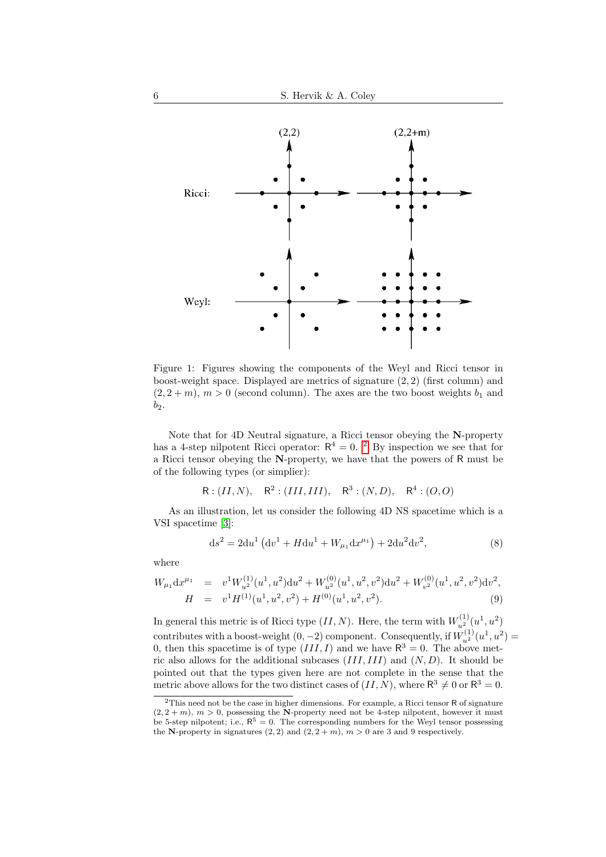

<span id="page-5-0"></span>Figure 1: Figures showing the components of the Weyl and Ricci tensor in boost-weight space. Displayed are metrics of signature (2, 2) (first column) and  $(2, 2+m)$ ,  $m > 0$  (second column). The axes are the two boost weights  $b_1$  and  $b_2$ .

Note that for 4D Neutral signature, a Ricci tensor obeying the N-property has a 4-step nilpotent Ricci operator:  $R^4 = 0$ . <sup>[2](#page-5-1)</sup> By inspection we see that for a Ricci tensor obeying the N-property, we have that the powers of R must be of the following types (or simplier):

$$
R: (II, N), \quad R^2: (III, III), \quad R^3: (N, D), \quad R^4: (O, O)
$$

As an illustration, let us consider the following 4D NS spacetime which is a VSI spacetime [\[3\]](#page-6-2):

$$
ds^{2} = 2du^{1} (dv^{1} + H du^{1} + W_{\mu_{1}} dx^{\mu_{1}}) + 2du^{2} dv^{2},
$$
\n(8)

where

$$
W_{\mu_1} dx^{\mu_1} = v^1 W_{u^2}^{(1)} (u^1, u^2) du^2 + W_{u^2}^{(0)} (u^1, u^2, v^2) du^2 + W_{v^2}^{(0)} (u^1, u^2, v^2) dv^2,
$$
  
\n
$$
H = v^1 H^{(1)} (u^1, u^2, v^2) + H^{(0)} (u^1, u^2, v^2).
$$
\n(9)

In general this metric is of Ricci type  $(II, N)$ . Here, the term with  $W_{u^2}^{(1)}(u^1, u^2)$ contributes with a boost-weight  $(0, -2)$  component. Consequently, if  $W_{u^2}^{(1)}(u^1, u^2) =$ 0, then this spacetime is of type  $(III, I)$  and we have  $\mathbb{R}^3 = 0$ . The above metric also allows for the additional subcases  $(III, III)$  and  $(N, D)$ . It should be pointed out that the types given here are not complete in the sense that the metric above allows for the two distinct cases of  $(II, N)$ , where  $\mathbb{R}^3 \neq 0$  or  $\mathbb{R}^3 = 0$ .

<span id="page-5-1"></span><sup>&</sup>lt;sup>2</sup>This need not be the case in higher dimensions. For example, a Ricci tensor R of signature  $(2, 2+m)$ ,  $m > 0$ , possessing the N-property need not be 4-step nilpotent, however it must be 5-step nilpotent; i.e.,  $R^5 = 0$ . The corresponding numbers for the Weyl tensor possessing the N-property in signatures (2, 2) and (2,  $2 + m$ ),  $m > 0$  are 3 and 9 respectively.